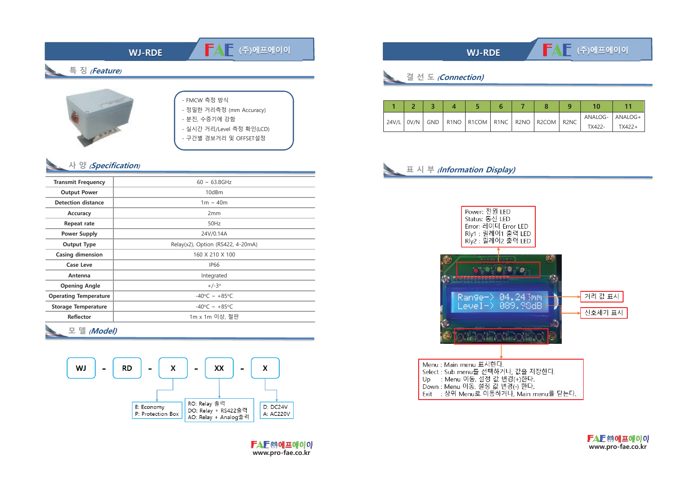

## 사 양 (Specification)

| <b>Transmit Frequency</b>    | $60 \sim 63.8$ GHz                 |  |  |  |  |  |  |
|------------------------------|------------------------------------|--|--|--|--|--|--|
| <b>Output Power</b>          | 10dBm                              |  |  |  |  |  |  |
| <b>Detection distance</b>    | $1m \sim 40m$                      |  |  |  |  |  |  |
| Accuracy                     | 2mm                                |  |  |  |  |  |  |
| Repeat rate                  | 50Hz                               |  |  |  |  |  |  |
| <b>Power Supply</b>          | 24V/0.14A                          |  |  |  |  |  |  |
| <b>Output Type</b>           | Relay(x2), Option (RS422, 4-20mA)  |  |  |  |  |  |  |
| <b>Casing dimension</b>      | 160 X 210 X 100                    |  |  |  |  |  |  |
| <b>Case Leve</b>             | <b>IP66</b>                        |  |  |  |  |  |  |
| Antenna                      | Integrated                         |  |  |  |  |  |  |
| <b>Opening Angle</b>         | $+/-3^{\circ}$                     |  |  |  |  |  |  |
| <b>Operating Temperature</b> | $-40^{\circ}$ C ~ +85 $^{\circ}$ C |  |  |  |  |  |  |
| <b>Storage Temperature</b>   | $-40^{\circ}$ C ~ +85°C            |  |  |  |  |  |  |
| <b>Reflector</b>             | 1m x 1m 이상, 철판                     |  |  |  |  |  |  |
|                              |                                    |  |  |  |  |  |  |

모 델 (Model)



## **WJ-RDE**

결 선 도 (Connection)

|       |                                                        |  |  |  |        | 10                |  |
|-------|--------------------------------------------------------|--|--|--|--------|-------------------|--|
| 24V/L | 0V/N   GND   R1NO   R1COM   R1NC   R2NO   R2COM   R2NC |  |  |  |        | ANALOG-   ANALOG+ |  |
|       |                                                        |  |  |  | TX422- | $TX422+$          |  |

## 표 시 부 *(Information Display)*



**FAE @에프에이이** www.pro-fae.co.kr

FAF (주)에프에이이

Exit : 상위 Menu로 이동하거나, Main menu를 닫는다.